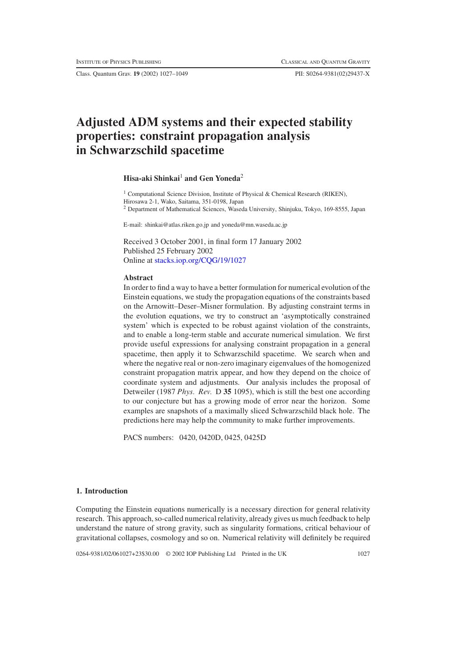Class. Quantum Grav. **19** (2002) 1027–1049 PII: S0264-9381(02)29437-X

# **Adjusted ADM systems and their expected stability properties: constraint propagation analysis in Schwarzschild spacetime**

## **Hisa-aki Shinkai**<sup>1</sup> **and Gen Yoneda**<sup>2</sup>

<sup>1</sup> Computational Science Division, Institute of Physical & Chemical Research (RIKEN), Hirosawa 2-1, Wako, Saitama, 351-0198, Japan <sup>2</sup> Department of Mathematical Sciences, Waseda University, Shinjuku, Tokyo, 169-8555, Japan

E-mail: shinkai@atlas.riken.go.jp and yoneda@mn.waseda.ac.jp

Received 3 October 2001, in final form 17 January 2002 Published 25 February 2002 Online at [stacks.iop.org/CQG/19/1027](http://stacks.iop.org/cq/19/1027)

## **Abstract**

In order to find a way to have a better formulation for numerical evolution of the Einstein equations, we study the propagation equations of the constraints based on the Arnowitt–Deser–Misner formulation. By adjusting constraint terms in the evolution equations, we try to construct an 'asymptotically constrained system' which is expected to be robust against violation of the constraints, and to enable a long-term stable and accurate numerical simulation. We first provide useful expressions for analysing constraint propagation in a general spacetime, then apply it to Schwarzschild spacetime. We search when and where the negative real or non-zero imaginary eigenvalues of the homogenized constraint propagation matrix appear, and how they depend on the choice of coordinate system and adjustments. Our analysis includes the proposal of Detweiler (1987 *Phys. Rev.* D **35** 1095), which is still the best one according to our conjecture but has a growing mode of error near the horizon. Some examples are snapshots of a maximally sliced Schwarzschild black hole. The predictions here may help the community to make further improvements.

PACS numbers: 0420, 0420D, 0425, 0425D

## **1. Introduction**

Computing the Einstein equations numerically is a necessary direction for general relativity research. This approach, so-called numerical relativity, already gives us much feedback to help understand the nature of strong gravity, such as singularity formations, critical behaviour of gravitational collapses, cosmology and so on. Numerical relativity will definitely be required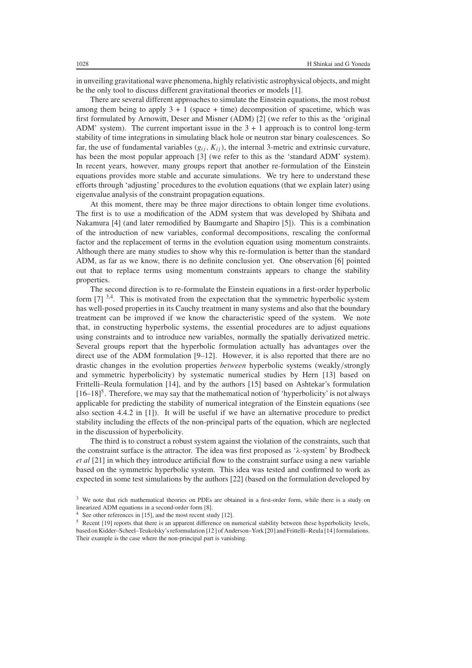in unveiling gravitational wave phenomena, highly relativistic astrophysical objects, and might be the only tool to discuss different gravitational theories or models [1].

There are several different approaches to simulate the Einstein equations, the most robust among them being to apply  $3 + 1$  (space + time) decomposition of spacetime, which was first formulated by Arnowitt, Deser and Misner (ADM) [2] (we refer to this as the 'original ADM' system). The current important issue in the  $3 + 1$  approach is to control long-term stability of time integrations in simulating black hole or neutron star binary coalescences. So far, the use of fundamental variables  $(g_{ij}, K_{ij})$ , the internal 3-metric and extrinsic curvature, has been the most popular approach [3] (we refer to this as the 'standard ADM' system). In recent years, however, many groups report that another re-formulation of the Einstein equations provides more stable and accurate simulations. We try here to understand these efforts through 'adjusting' procedures to the evolution equations (that we explain later) using eigenvalue analysis of the constraint propagation equations.

At this moment, there may be three major directions to obtain longer time evolutions. The first is to use a modification of the ADM system that was developed by Shibata and Nakamura [4] (and later remodified by Baumgarte and Shapiro [5]). This is a combination of the introduction of new variables, conformal decompositions, rescaling the conformal factor and the replacement of terms in the evolution equation using momentum constraints. Although there are many studies to show why this re-formulation is better than the standard ADM, as far as we know, there is no definite conclusion yet. One observation [6] pointed out that to replace terms using momentum constraints appears to change the stability properties.

The second direction is to re-formulate the Einstein equations in a first-order hyperbolic form  $[7]$ <sup>3,4</sup>. This is motivated from the expectation that the symmetric hyperbolic system has well-posed properties in its Cauchy treatment in many systems and also that the boundary treatment can be improved if we know the characteristic speed of the system. We note that, in constructing hyperbolic systems, the essential procedures are to adjust equations using constraints and to introduce new variables, normally the spatially derivatized metric. Several groups report that the hyperbolic formulation actually has advantages over the direct use of the ADM formulation  $[9-12]$ . However, it is also reported that there are no drastic changes in the evolution properties *between* hyperbolic systems (weakly*/*strongly and symmetric hyperbolicity) by systematic numerical studies by Hern [13] based on Frittelli–Reula formulation [14], and by the authors [15] based on Ashtekar's formulation  $[16–18]$ <sup>5</sup>. Therefore, we may say that the mathematical notion of 'hyperbolicity' is not always applicable for predicting the stability of numerical integration of the Einstein equations (see also section 4.4.2 in [1]). It will be useful if we have an alternative procedure to predict stability including the effects of the non-principal parts of the equation, which are neglected in the discussion of hyperbolicity.

The third is to construct a robust system against the violation of the constraints, such that the constraint surface is the attractor. The idea was first proposed as '*λ*-system' by Brodbeck *et al* [21] in which they introduce artificial flow to the constraint surface using a new variable based on the symmetric hyperbolic system. This idea was tested and confirmed to work as expected in some test simulations by the authors [22] (based on the formulation developed by

<sup>&</sup>lt;sup>3</sup> We note that rich mathematical theories on PDEs are obtained in a first-order form, while there is a study on linearized ADM equations in a second-order form [8].

See other references in  $[15]$ , and the most recent study  $[12]$ .

<sup>5</sup> Recent [19] reports that there is an apparent difference on numerical stability between these hyperbolicity levels, based on Kidder–Scheel–Teukolsky's reformulation [12] of Anderson–York [20] and Frittelli–Reula [14] formulations. Their example is the case where the non-principal part is vanishing.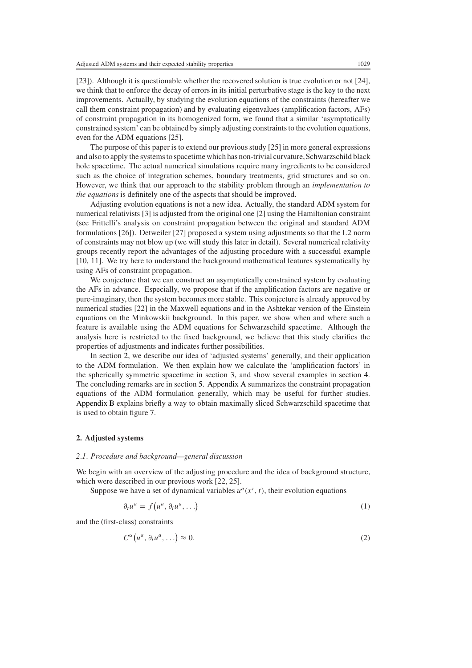[23]). Although it is questionable whether the recovered solution is true evolution or not [24], we think that to enforce the decay of errors in its initial perturbative stage is the key to the next improvements. Actually, by studying the evolution equations of the constraints (hereafter we call them constraint propagation) and by evaluating eigenvalues (amplification factors, AFs) of constraint propagation in its homogenized form, we found that a similar 'asymptotically constrained system' can be obtained by simply adjusting constraints to the evolution equations, even for the ADM equations [25].

The purpose of this paper is to extend our previous study [25] in more general expressions and also to apply the systems to spacetime which has non-trivial curvature, Schwarzschild black hole spacetime. The actual numerical simulations require many ingredients to be considered such as the choice of integration schemes, boundary treatments, grid structures and so on. However, we think that our approach to the stability problem through an *implementation to the equations* is definitely one of the aspects that should be improved.

Adjusting evolution equations is not a new idea. Actually, the standard ADM system for numerical relativists [3] is adjusted from the original one [2] using the Hamiltonian constraint (see Frittelli's analysis on constraint propagation between the original and standard ADM formulations [26]). Detweiler [27] proposed a system using adjustments so that the L2 norm of constraints may not blow up (we will study this later in detail). Several numerical relativity groups recently report the advantages of the adjusting procedure with a successful example [10, 11]. We try here to understand the background mathematical features systematically by using AFs of constraint propagation.

We conjecture that we can construct an asymptotically constrained system by evaluating the AFs in advance. Especially, we propose that if the amplification factors are negative or pure-imaginary, then the system becomes more stable. This conjecture is already approved by numerical studies [22] in the Maxwell equations and in the Ashtekar version of the Einstein equations on the Minkowskii background. In this paper, we show when and where such a feature is available using the ADM equations for Schwarzschild spacetime. Although the analysis here is restricted to the fixed background, we believe that this study clarifies the properties of adjustments and indicates further possibilities.

In section [2,](#page-2-0) we describe our idea of 'adjusted systems' generally, and their application to the ADM formulation. We then explain how we calculate the 'amplification factors' in the spherically symmetric spacetime in section [3,](#page-5-0) and show several examples in section [4.](#page-9-0) The concluding remarks are in section [5.](#page-15-0) [Appendix A](#page-18-0) summarizes the constraint propagation equations of the ADM formulation generally, which may be useful for further studies. [Appendix B](#page-20-0) explains briefly a way to obtain maximally sliced Schwarzschild spacetime that is used to obtain figure [7.](#page-18-1)

#### <span id="page-2-0"></span>**2. Adjusted systems**

#### <span id="page-2-2"></span>*2.1. Procedure and background—general discussion*

We begin with an overview of the adjusting procedure and the idea of background structure, which were described in our previous work [22, 25].

<span id="page-2-1"></span>Suppose we have a set of dynamical variables  $u^a(x^i, t)$ , their evolution equations

$$
\partial_t u^a = f\big(u^a, \partial_i u^a, \ldots\big) \tag{1}
$$

and the (first-class) constraints

$$
C^{\alpha}(u^a, \partial_i u^a, \ldots) \approx 0. \tag{2}
$$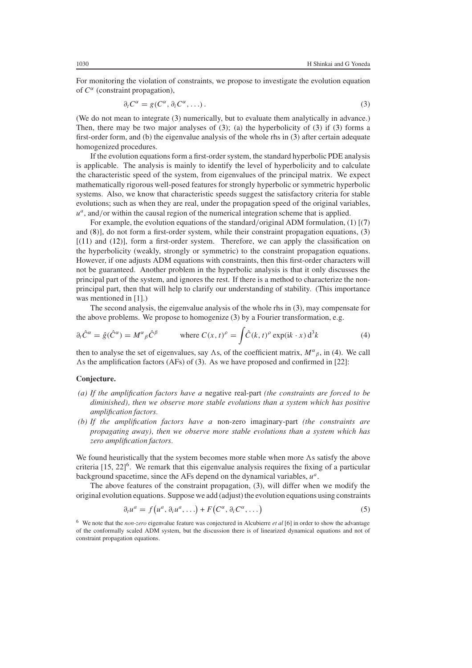<span id="page-3-0"></span>For monitoring the violation of constraints, we propose to investigate the evolution equation of *C<sup>α</sup>* (constraint propagation),

$$
\partial_t C^{\alpha} = g(C^{\alpha}, \partial_i C^{\alpha}, \ldots). \tag{3}
$$

(We do not mean to integrate [\(3\)](#page-3-0) numerically, but to evaluate them analytically in advance.) Then, there may be two major analyses of  $(3)$ ; (a) the hyperbolicity of  $(3)$  if  $(3)$  forms a first-order form, and (b) the eigenvalue analysis of the whole rhs in [\(3\)](#page-3-0) after certain adequate homogenized procedures.

If the evolution equations form a first-order system, the standard hyperbolic PDE analysis is applicable. The analysis is mainly to identify the level of hyperbolicity and to calculate the characteristic speed of the system, from eigenvalues of the principal matrix. We expect mathematically rigorous well-posed features for strongly hyperbolic or symmetric hyperbolic systems. Also, we know that characteristic speeds suggest the satisfactory criteria for stable evolutions; such as when they are real, under the propagation speed of the original variables,  $u^a$ , and/or within the causal region of the numerical integration scheme that is applied.

For example, the evolution equations of the standard/original ADM formulation, [\(1\)](#page-2-1) [[\(7\)](#page-4-0) and [\(8\)](#page-4-1)], do not form a first-order system, while their constraint propagation equations, [\(3\)](#page-3-0)  $[(11)$  $[(11)$  and  $(12)]$  $(12)]$ , form a first-order system. Therefore, we can apply the classification on the hyperbolicity (weakly, strongly or symmetric) to the constraint propagation equations. However, if one adjusts ADM equations with constraints, then this first-order characters will not be guaranteed. Another problem in the hyperbolic analysis is that it only discusses the principal part of the system, and ignores the rest. If there is a method to characterize the nonprincipal part, then that will help to clarify our understanding of stability. (This importance was mentioned in [1].)

The second analysis, the eigenvalue analysis of the whole rhs in [\(3\)](#page-3-0), may compensate for the above problems. We propose to homogenize [\(3\)](#page-3-0) by a Fourier transformation, e.g.

<span id="page-3-1"></span>
$$
\partial_t \hat{C}^\alpha = \hat{g}(\hat{C}^\alpha) = M^\alpha{}_\beta \hat{C}^\beta \qquad \text{where } C(x, t)^\rho = \int \hat{C}(k, t)^\rho \exp(ik \cdot x) d^3k \tag{4}
$$

then to analyse the set of eigenvalues, say As, of the coefficient matrix,  $M^{\alpha}{}_{\beta}$ , in [\(4\)](#page-3-1). We call As the amplification factors (AFs) of [\(3\)](#page-3-0). As we have proposed and confirmed in  $[22]$ :

## **Conjecture.**

- *(a) If the amplification factors have a* negative real-part *(the constraints are forced to be diminished), then we observe more stable evolutions than a system which has positive amplification factors.*
- *(b) If the amplification factors have a* non-zero imaginary-part *(the constraints are propagating away), then we observe more stable evolutions than a system which has zero amplification factors.*

We found heuristically that the system becomes more stable when more  $\Lambda$ s satisfy the above criteria [15, 22]<sup>6</sup>. We remark that this eigenvalue analysis requires the fixing of a particular background spacetime, since the AFs depend on the dynamical variables, *u<sup>a</sup>*.

The above features of the constraint propagation, [\(3\)](#page-3-0), will differ when we modify the original evolution equations. Suppose we add (adjust) the evolution equations using constraints

$$
\partial_t u^a = f(u^a, \partial_i u^a, \ldots) + F(C^{\alpha}, \partial_i C^{\alpha}, \ldots)
$$
\n(5)

<sup>6</sup> We note that the *non-zero* eigenvalue feature was conjectured in Alcubierre *et al* [6] in order to show the advantage of the conformally scaled ADM system, but the discussion there is of linearized dynamical equations and not of constraint propagation equations.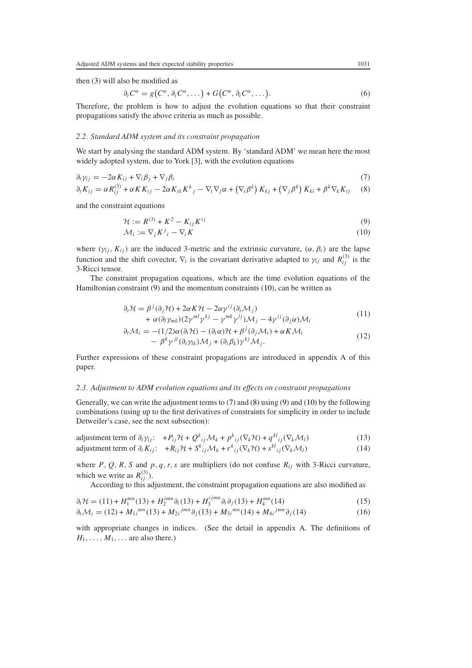then [\(3\)](#page-3-0) will also be modified as

<span id="page-4-11"></span><span id="page-4-10"></span>
$$
\partial_t C^{\alpha} = g(C^{\alpha}, \partial_i C^{\alpha}, \dots) + G(C^{\alpha}, \partial_i C^{\alpha}, \dots). \tag{6}
$$

Therefore, the problem is how to adjust the evolution equations so that their constraint propagations satisfy the above criteria as much as possible.

#### *2.2. Standard ADM system and its constraint propagation*

We start by analysing the standard ADM system. By 'standard ADM' we mean here the most widely adopted system, due to York [3], with the evolution equations

<span id="page-4-1"></span><span id="page-4-0"></span>
$$
\partial_t \gamma_{ij} = -2\alpha K_{ij} + \nabla_i \beta_j + \nabla_j \beta_i
$$
\n
$$
\partial_t K_{ij} = \alpha R_{ij}^{(3)} + \alpha K K_{ij} - 2\alpha K_{ik} K^k{}_j - \nabla_i \nabla_j \alpha + (\nabla_i \beta^k) K_{kj} + (\nabla_j \beta^k) K_{ki} + \beta^k \nabla_k K_{ij}
$$
\n(7)

<span id="page-4-5"></span><span id="page-4-4"></span>and the constraint equations

$$
\mathcal{H} := R^{(3)} + K^2 - K_{ij} K^{ij}
$$
\n
$$
\mathcal{M}_i := \nabla_j K^j{}_i - \nabla_i K
$$
\n(9)\n(9)

where  $(\gamma_{ij}, K_{ij})$  are the induced 3-metric and the extrinsic curvature,  $(\alpha, \beta_i)$  are the lapse function and the shift covector,  $\nabla_i$  is the covariant derivative adapted to  $\gamma_{ij}$  and  $R^{(3)}_{ij}$  is the 3-Ricci tensor.

<span id="page-4-2"></span>The constraint propagation equations, which are the time evolution equations of the Hamiltonian constraint [\(9\)](#page-4-4) and the momentum constraints [\(10\)](#page-4-5), can be written as

$$
\partial_t \mathcal{H} = \beta^j (\partial_j \mathcal{H}) + 2\alpha K \mathcal{H} - 2\alpha \gamma^{ij} (\partial_i \mathcal{M}_j) + \alpha (\partial_l \gamma_{mk}) (2\gamma^{ml} \gamma^{kj} - \gamma^{mk} \gamma^{lj}) \mathcal{M}_j - 4\gamma^{ij} (\partial_j \alpha) \mathcal{M}_i
$$
\n(11)

$$
\partial_t \mathcal{M}_i = -(1/2)\alpha(\partial_i \mathcal{H}) - (\partial_i \alpha)\mathcal{H} + \beta^j(\partial_j \mathcal{M}_i) + \alpha K \mathcal{M}_i - \beta^k \gamma^{jl} (\partial_i \gamma_{lk}) \mathcal{M}_j + (\partial_i \beta_k) \gamma^{kj} \mathcal{M}_j.
$$
\n(12)

<span id="page-4-3"></span>Further expressions of these constraint propagations are introduced in appendix A of this paper.

## *2.3. Adjustment to ADM evolution equations and its effects on constraint propagations*

Generally, we can write the adjustment terms to [\(7\)](#page-4-0) and [\(8\)](#page-4-1) using [\(9\)](#page-4-4) and [\(10\)](#page-4-5) by the following combinations (using up to the first derivatives of constraints for simplicity in order to include Detweiler's case, see the next subsection):

<span id="page-4-7"></span><span id="page-4-6"></span>adjustment term of 
$$
\partial_t \gamma_{ij}
$$
:  $+P_{ij} \mathcal{H} + Q^k_{ij} \mathcal{M}_k + p^k_{ij} (\nabla_k \mathcal{H}) + q^{kl}_{ij} (\nabla_k \mathcal{M}_l)$  (13)

adjustment term of 
$$
\partial_t K_{ij}
$$
:  $+R_{ij} \mathcal{H} + S^k_{ij} \mathcal{M}_k + r^k_{ij} (\nabla_k \mathcal{H}) + s^{kl}_{ij} (\nabla_k \mathcal{M}_l)$  (14)

where  $P$ ,  $Q$ ,  $R$ ,  $S$  and  $p$ ,  $q$ ,  $r$ ,  $s$  are multipliers (do not confuse  $R_{ij}$  with 3-Ricci curvature, which we write as  $R_{ij}^{(3)}$ ).

According to this adjustment, the constraint propagation equations are also modified as

<span id="page-4-9"></span><span id="page-4-8"></span>
$$
\partial_t \mathcal{H} = (11) + H_1^{mn}(13) + H_2^{imn} \partial_i (13) + H_3^{ijmn} \partial_i \partial_j (13) + H_4^{mn}(14)
$$
\n(15)

$$
\partial_t \mathcal{M}_i = (12) + M_{1i}^{mn}(13) + M_{2i}^{jmn} \partial_j (13) + M_{3i}^{mn}(14) + M_{4i}^{jmn} \partial_j (14)
$$
\n(16)

with appropriate changes in indices. (See the detail in appendix A. The definitions of  $H_1, \ldots, M_1, \ldots$  are also there.)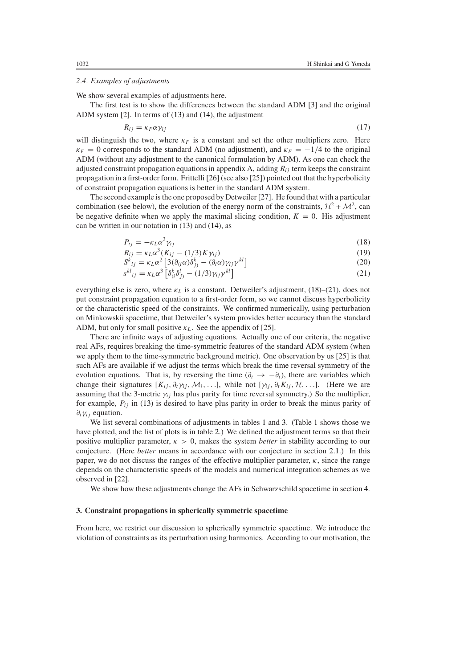#### *2.4. Examples of adjustments*

We show several examples of adjustments here.

<span id="page-5-3"></span>The first test is to show the differences between the standard ADM [3] and the original ADM system [2]. In terms of [\(13\)](#page-4-6) and [\(14\)](#page-4-7), the adjustment

$$
R_{ij} = \kappa_F \alpha \gamma_{ij} \tag{17}
$$

will distinguish the two, where  $\kappa_F$  is a constant and set the other multipliers zero. Here  $\kappa_F = 0$  corresponds to the standard ADM (no adjustment), and  $\kappa_F = -1/4$  to the original ADM (without any adjustment to the canonical formulation by ADM). As one can check the adjusted constraint propagation equations in appendix A, adding *Rij* term keeps the constraint propagation in a first-order form. Frittelli [26] (see also [25]) pointed out that the hyperbolicity of constraint propagation equations is better in the standard ADM system.

<span id="page-5-5"></span><span id="page-5-1"></span>The second example is the one proposed by Detweiler [27]. He found that with a particular combination (see below), the evolution of the energy norm of the constraints,  $H^2 + M^2$ , can be negative definite when we apply the maximal slicing condition,  $K = 0$ . His adjustment can be written in our notation in [\(13\)](#page-4-6) and [\(14\)](#page-4-7), as

$$
P_{ij} = -\kappa_L \alpha^3 \gamma_{ij} \tag{18}
$$

$$
R_{ij} = \kappa_L \alpha^3 (K_{ij} - (1/3)K \gamma_{ij})
$$
\n(19)

$$
S_{ij}^k = \kappa_L \alpha^2 \left[ 3(\partial_{ij} \alpha) \delta_{j}^k - (\partial_l \alpha) \gamma_{ij} \gamma^{kl} \right]
$$
 (20)

$$
s^{kl}_{ij} = \kappa_L \alpha^3 \left[ \delta^k_{(i} \delta^l_{j)} - (1/3) \gamma_{ij} \gamma^{kl} \right]
$$
\n(21)

<span id="page-5-4"></span><span id="page-5-2"></span>everything else is zero, where *κ<sub>L</sub>* is a constant. Detweiler's adjustment, [\(18\)](#page-5-1)–[\(21\)](#page-5-2), does not put constraint propagation equation to a first-order form, so we cannot discuss hyperbolicity or the characteristic speed of the constraints. We confirmed numerically, using perturbation on Minkowskii spacetime, that Detweiler's system provides better accuracy than the standard ADM, but only for small positive  $\kappa_L$ . See the appendix of [25].

There are infinite ways of adjusting equations. Actually one of our criteria, the negative real AFs, requires breaking the time-symmetric features of the standard ADM system (when we apply them to the time-symmetric background metric). One observation by us [25] is that such AFs are available if we adjust the terms which break the time reversal symmetry of the evolution equations. That is, by reversing the time ( $\partial_t \rightarrow -\partial_t$ ), there are variables which change their signatures  $[K_{ij}, \partial_t \gamma_{ij}, \mathcal{M}_i, \ldots]$ , while not  $[\gamma_{ij}, \partial_t K_{ij}, \mathcal{H}, \ldots]$ . (Here we are assuming that the 3-metric  $\gamma_{ij}$  has plus parity for time reversal symmetry.) So the multiplier, for example, *Pij* in [\(13\)](#page-4-6) is desired to have plus parity in order to break the minus parity of *∂tγij* equation.

We list several combinations of adjustments in tables [1](#page-6-0) and [3.](#page-17-0) (Table [1](#page-6-0) shows those we have plotted, and the list of plots is in table [2.](#page-6-1)) We defined the adjustment terms so that their positive multiplier parameter,  $\kappa > 0$ , makes the system *better* in stability according to our conjecture. (Here *better* means in accordance with our conjecture in section [2.1.](#page-2-2)) In this paper, we do not discuss the ranges of the effective multiplier parameter, *κ*, since the range depends on the characteristic speeds of the models and numerical integration schemes as we observed in [22].

We show how these adjustments change the AFs in Schwarzschild spacetime in section [4.](#page-9-0)

#### <span id="page-5-0"></span>**3. Constraint propagations in spherically symmetric spacetime**

From here, we restrict our discussion to spherically symmetric spacetime. We introduce the violation of constraints as its perturbation using harmonics. According to our motivation, the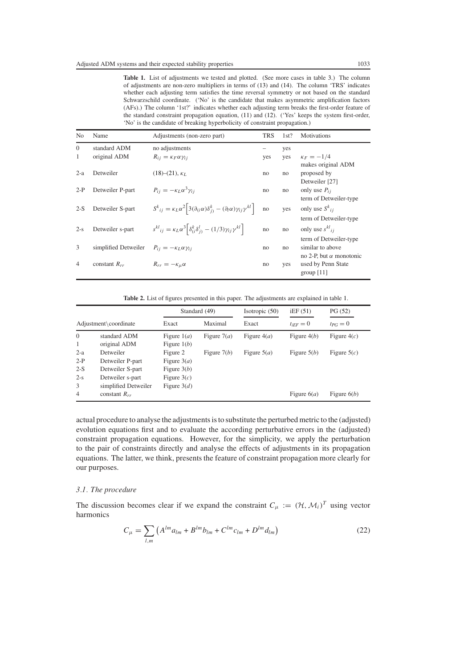<span id="page-6-2"></span><span id="page-6-0"></span>Table 1. List of adjustments we tested and plotted. (See more cases in table [3.](#page-17-0)) The column of adjustments are non-zero multipliers in terms of [\(13\)](#page-4-6) and [\(14\)](#page-4-7). The column 'TRS' indicates whether each adjusting term satisfies the time reversal symmetry or not based on the standard Schwarzschild coordinate. ('No' is the candidate that makes asymmetric amplification factors (AFs).) The column '1st?' indicates whether each adjusting term breaks the first-order feature of the standard constraint propagation equation, [\(11\)](#page-4-2) and [\(12\)](#page-4-3). ('Yes' keeps the system first-order, 'No' is the candidate of breaking hyperbolicity of constraint propagation.)

| N <sub>0</sub> | Name                 | Adjustments (non-zero part)                                                                                                     | <b>TRS</b> | 1st? | <b>Motivations</b>                                                           |
|----------------|----------------------|---------------------------------------------------------------------------------------------------------------------------------|------------|------|------------------------------------------------------------------------------|
| $\Omega$       | standard ADM         | no adjustments                                                                                                                  |            | yes  |                                                                              |
| 1              | original ADM         | $R_{ij} = \kappa_F \alpha \gamma_{ij}$                                                                                          | yes        | yes  | $\kappa_F = -1/4$                                                            |
| $2-a$          | Detweiler            | $(18)–(21), \kappa_I$                                                                                                           | no         | no   | makes original ADM<br>proposed by                                            |
| $2-P$          | Detweiler P-part     | $P_{ii} = -\kappa_L \alpha^3 \gamma_{ii}$                                                                                       | no         | no   | Detweiler [27]<br>only use $P_{ii}$<br>term of Detweiler-type                |
| $2-S$          | Detweiler S-part     | $S^{k}_{ij} = \kappa_L \alpha^2 \left[ 3(\partial_{(i}\alpha)\delta_{j)}^k - (\partial_l \alpha)\gamma_{ij}\gamma^{kl} \right]$ | no         | yes  | only use $S_{ij}^k$                                                          |
| $2-s$          | Detweiler s-part     | $s^{kl}_{ij} = \kappa_L \alpha^3 \left[ \delta_{(i)}^k \delta_{(j)}^l - (1/3) \gamma_{ij} \gamma^{kl} \right]$                  | no         | no   | term of Detweiler-type<br>only use $s^{kl}$ <sub>ij</sub>                    |
| 3              | simplified Detweiler | $P_{ij} = -\kappa_L \alpha \gamma_{ij}$                                                                                         | no         | no   | term of Detweiler-type<br>similar to above<br>no 2-P, but $\alpha$ monotonic |
| $\overline{4}$ | constant $R_{rr}$    | $R_{rr} = -\kappa_\mu \alpha$                                                                                                   | no         | yes  | used by Penn State<br>group $[11]$                                           |

**Table 2.** List of figures presented in this paper. The adjustments are explained in table [1.](#page-6-0)

<span id="page-6-1"></span>

|                       |                                      |                                | Standard (49) | Isotropic $(50)$ | iEF(51)       | PG(52)        |
|-----------------------|--------------------------------------|--------------------------------|---------------|------------------|---------------|---------------|
| Adjustment\coordinate |                                      | Exact                          | Maximal       | Exact            | $t_{iFF}=0$   | $tp_G = 0$    |
| $\Omega$<br>1         | standard ADM<br>original ADM         | Figure $1(a)$<br>Figure $1(b)$ | Figure $7(a)$ | Figure $4(a)$    | Figure $4(b)$ | Figure $4(c)$ |
| $2-a$                 | Detweiler                            | Figure 2                       | Figure $7(b)$ | Figure $5(a)$    | Figure $5(b)$ | Figure $5(c)$ |
| $2-P$                 | Detweiler P-part                     | Figure $3(a)$                  |               |                  |               |               |
| $2-S$<br>$2-s$        | Detweiler S-part<br>Detweiler s-part | Figure $3(b)$<br>Figure $3(c)$ |               |                  |               |               |
| 3                     | simplified Detweiler                 | Figure $3(d)$                  |               |                  |               |               |
| $\overline{4}$        | constant $R_{rr}$                    |                                |               |                  | Figure $6(a)$ | Figure $6(b)$ |

actual procedure to analyse the adjustments is to substitute the perturbed metric to the (adjusted) evolution equations first and to evaluate the according perturbative errors in the (adjusted) constraint propagation equations. However, for the simplicity, we apply the perturbation to the pair of constraints directly and analyse the effects of adjustments in its propagation equations. The latter, we think, presents the feature of constraint propagation more clearly for our purposes.

## *3.1. The procedure*

The discussion becomes clear if we expand the constraint  $C_{\mu} := (\mathcal{H}, \mathcal{M}_i)^T$  using vector harmonics

$$
C_{\mu} = \sum_{l,m} \left( A^{lm} a_{lm} + B^{lm} b_{lm} + C^{lm} c_{lm} + D^{lm} d_{lm} \right)
$$
 (22)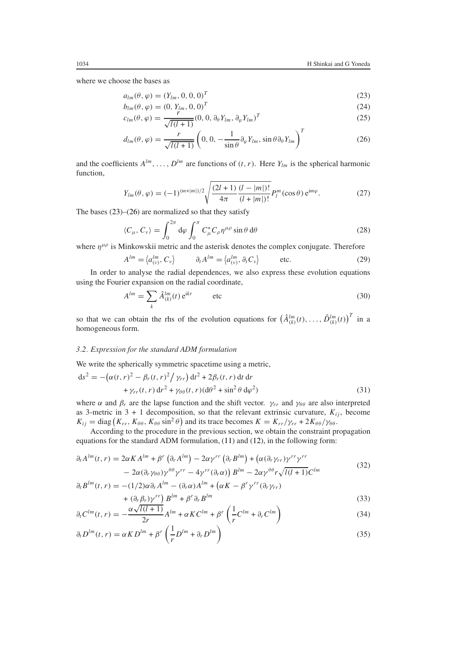<span id="page-7-0"></span>where we choose the bases as

$$
a_{lm}(\theta, \varphi) = (Y_{lm}, 0, 0, 0)^T
$$
\n(23)

$$
b_{lm}(\theta, \varphi) = (0, Y_{lm}, 0, 0)^T
$$
\n(24)

$$
c_{lm}(\theta, \varphi) = \frac{r^m}{\sqrt{l(l+1)}} (0, 0, \partial_{\theta} Y_{lm}, \partial_{\varphi} Y_{lm})^T
$$
 (25)

$$
d_{lm}(\theta,\varphi) = \frac{r}{\sqrt{l(l+1)}} \left(0,0,-\frac{1}{\sin\theta}\partial_{\varphi}Y_{lm},\sin\theta\partial_{\theta}Y_{lm}\right)^{T}
$$
(26)

<span id="page-7-1"></span>and the coefficients  $A^{lm}, \ldots, D^{lm}$  are functions of  $(t, r)$ . Here  $Y_{lm}$  is the spherical harmonic function,

$$
Y_{lm}(\theta,\varphi) = (-1)^{(m+|m|)/2} \sqrt{\frac{(2l+1)}{4\pi} \frac{(l-|m|)!}{(l+|m|)!}} P_l^m(\cos\theta) e^{im\varphi}.
$$
 (27)

The bases  $(23)$ – $(26)$  are normalized so that they satisfy

$$
\langle C_{\mu}, C_{\nu} \rangle = \int_0^{2\pi} d\varphi \int_0^{\pi} C_{\mu}^* C_{\rho} \eta^{\mu \rho} \sin \theta \, d\theta \tag{28}
$$

where  $\eta^{\mu\rho}$  is Minkowskii metric and the asterisk denotes the complex conjugate. Therefore

$$
A^{lm} = \langle a_{(v)}^{lm}, C_v \rangle \qquad \partial_t A^{lm} = \langle a_{(v)}^{lm}, \partial_t C_v \rangle \qquad \text{etc.}
$$
 (29)

In order to analyse the radial dependences, we also express these evolution equations using the Fourier expansion on the radial coordinate,

$$
A^{lm} = \sum_{k} \hat{A}^{lm}_{(k)}(t) e^{ikr}
$$
 etc (30)

so that we can obtain the rhs of the evolution equations for  $(\hat{A}_{(k)}^{lm}(t), \ldots, \hat{D}_{(k)}^{lm}(t))^T$  in a homogeneous form.

## *3.2. Expression for the standard ADM formulation*

We write the spherically symmetric spacetime using a metric,

$$
ds2 = -(\alpha(t, r)2 - \beta_r(t, r)2/\gamma_{rr}) dt2 + 2\beta_r(t, r) dt dr + \gamma_{rr}(t, r) dr2 + \gamma_{\theta\theta}(t, r) (d\theta2 + \sin2\theta d\varphi2)
$$
 (31)

where  $\alpha$  and  $\beta_r$  are the lapse function and the shift vector.  $\gamma_{rr}$  and  $\gamma_{\theta\theta}$  are also interpreted as 3-metric in  $3 + 1$  decomposition, so that the relevant extrinsic curvature,  $K_{ij}$ , become  $K_{ij} = \text{diag}(K_{rr}, K_{\theta\theta}, K_{\theta\theta} \sin^2 \theta)$  and its trace becomes  $K = K_{rr}/\gamma_{rr} + 2K_{\theta\theta}/\gamma_{\theta\theta}$ .

According to the procedure in the previous section, we obtain the constraint propagation equations for the standard ADM formulation, [\(11\)](#page-4-2) and [\(12\)](#page-4-3), in the following form:

<span id="page-7-2"></span>
$$
\partial_t A^{lm}(t,r) = 2\alpha K A^{lm} + \beta^r \left( \partial_r A^{lm} \right) - 2\alpha \gamma^{rr} \left( \partial_r B^{lm} \right) + \left( \alpha (\partial_r \gamma_{rr}) \gamma^{rr} \gamma^{rr} \right)
$$
  

$$
- 2\alpha (\partial_r \gamma_{\theta\theta}) \gamma^{\theta\theta} \gamma^{rr} - 4\gamma^{rr} (\partial_r \alpha) \left( B^{lm} - 2\alpha \gamma^{\theta\theta} \gamma \sqrt{l(l+1)} C^{lm} \right) \tag{32}
$$

$$
\partial_t B^{lm}(t,r) = -(1/2)\alpha \partial_r A^{lm} - (\partial_r \alpha) A^{lm} + (\alpha K - \beta^r \gamma^{rr} (\partial_r \gamma_{rr})
$$
  
+ 
$$
(\partial_r \beta_r) \gamma^{rr} B^{lm} + \beta^r \partial_r B^{lm}
$$
 (33)

$$
+ \left(\partial_r \beta_r\right) \gamma^{rr} \int B^{lm} + \beta^r \partial_r B^{lm}
$$
\n
$$
\partial_t C^{lm}(t, r) = -\frac{\alpha \sqrt{l(l+1)}}{2r} A^{lm} + \alpha K C^{lm} + \beta^r \left(\frac{1}{r} C^{lm} + \partial_r C^{lm}\right)
$$
\n(33)

<span id="page-7-3"></span>
$$
\partial_t D^{lm}(t, r) = \alpha K D^{lm} + \beta^r \left(\frac{1}{r} D^{lm} + \partial_r D^{lm}\right)
$$
\n(35)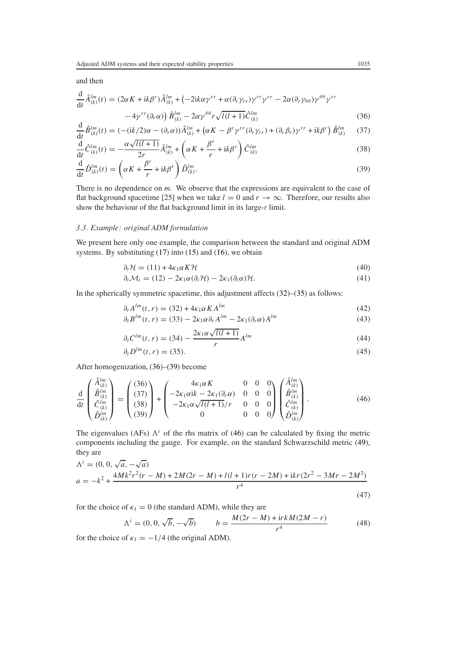and then

<span id="page-8-0"></span>
$$
\frac{\mathrm{d}}{\mathrm{d}t} \hat{A}_{(k)}^{lm}(t) = (2\alpha K + \mathrm{i}k\beta^r)\hat{A}_{(k)}^{lm} + \left(-2\mathrm{i}k\alpha\gamma^{rr} + \alpha(\partial_r\gamma_{rr})\gamma^{rr}\gamma^{rr} - 2\alpha(\partial_r\gamma_{\theta\theta})\gamma^{\theta\theta}\gamma^{rr} - 4\gamma^{rr}(\partial_r\alpha)\right)\hat{B}_{(k)}^{lm} - 2\alpha\gamma^{\theta\theta}r\sqrt{l(l+1)}\hat{C}_{(k)}^{lm}
$$
\n(36)

$$
\frac{\mathrm{d}}{\mathrm{d}t}\hat{B}_{(k)}^{lm}(t) = (-(ik/2)\alpha - (\partial_r \alpha))\hat{A}_{(k)}^{lm} + (\alpha K - \beta^r \gamma^{rr} (\partial_r \gamma_{rr}) + (\partial_r \beta_r) \gamma^{rr} + ik\beta^r)\hat{B}_{(k)}^{lm} \tag{37}
$$

$$
\frac{d}{dt}\hat{C}_{(k)}^{lm}(t) = -\frac{\alpha\sqrt{l(l+1)}}{2r}\hat{A}_{(k)}^{lm} + \left(\alpha K + \frac{\beta^r}{r} + ik\beta^r\right)\hat{C}_{(k)}^{lm}
$$
\n(38)

<span id="page-8-1"></span>
$$
\frac{\mathrm{d}}{\mathrm{d}t}\hat{D}_{(k)}^{lm}(t) = \left(\alpha K + \frac{\beta^r}{r} + \mathrm{i}k\beta^r\right)\hat{D}_{(k)}^{lm}.\tag{39}
$$

There is no dependence on *m*. We observe that the expressions are equivalent to the case of flat background spacetime [25] when we take  $l = 0$  and  $r \to \infty$ . Therefore, our results also show the behaviour of the flat background limit in its large-*r* limit.

## *3.3. Example: original ADM formulation*

We present here only one example, the comparison between the standard and original ADM systems. By substituting  $(17)$  into  $(15)$  and  $(16)$ , we obtain

$$
\partial_t \mathcal{H} = (11) + 4\kappa_1 \alpha K \mathcal{H} \tag{40}
$$

$$
\partial_t \mathcal{M}_i = (12) - 2\kappa_1 \alpha (\partial_i \mathcal{H}) - 2\kappa_1 (\partial_i \alpha) \mathcal{H}.
$$
\n(41)

In the spherically symmetric spacetime, this adjustment affects  $(32)$ – $(35)$  as follows:

$$
\partial_t A^{lm}(t, r) = (32) + 4\kappa_1 \alpha K A^{lm} \tag{42}
$$

$$
\partial_t B^{lm}(t,r) = (33) - 2\kappa_1 \alpha \partial_r A^{lm} - 2\kappa_1 (\partial_r \alpha) A^{lm}
$$
\n(43)

$$
\partial_t C^{lm}(t, r) = (34) - \frac{2\kappa_1 \alpha \sqrt{l(l+1)}}{r} A^{lm}
$$
\n(44)

$$
\partial_t D^{lm}(t, r) = (35). \tag{45}
$$

After homogenization, [\(36\)](#page-8-0)–[\(39\)](#page-8-1) become

<span id="page-8-2"></span>
$$
\frac{\mathrm{d}}{\mathrm{d}t} \begin{pmatrix} \hat{A}_{(k)}^{lm} \\ \hat{B}_{(k)}^{lm} \\ \hat{C}_{(k)}^{lm} \\ \hat{D}_{(k)}^{lm} \end{pmatrix} = \begin{pmatrix} (36) \\ (37) \\ (38) \\ (39) \end{pmatrix} + \begin{pmatrix} 4\kappa_1 \alpha K & 0 & 0 & 0 \\ -2\kappa_1 \alpha i k - 2\kappa_1 (\partial_r \alpha) & 0 & 0 & 0 \\ -2\kappa_1 \alpha \sqrt{l(l+1)}/r & 0 & 0 & 0 \\ 0 & 0 & 0 & 0 & 0 \end{pmatrix} \begin{pmatrix} \hat{A}_{(k)}^{lm} \\ \hat{B}_{(k)}^{lm} \\ \hat{C}_{(k)}^{lm} \\ \hat{D}_{(k)}^{lm} \end{pmatrix} . \tag{46}
$$

The eigenvalues (AFs)  $\Lambda^i$  of the rhs matrix of [\(46\)](#page-8-2) can be calculated by fixing the metric components including the gauge. For example, on the standard Schwarzschild metric [\(49\)](#page-9-1), they are

<span id="page-8-3"></span>
$$
\Lambda^{i} = (0, 0, \sqrt{a}, -\sqrt{a})
$$
\n
$$
a = -k^{2} + \frac{4Mk^{2}r^{2}(r - M) + 2M(2r - M) + l(l+1)r(r - 2M) + ikr(2r^{2} - 3Mr - 2M^{2})}{r^{4}}
$$
\n(47)

<span id="page-8-4"></span>for the choice of  $\kappa_1 = 0$  (the standard ADM), while they are

$$
\Lambda^{i} = (0, 0, \sqrt{b}, -\sqrt{b}) \qquad b = \frac{M(2r - M) + \text{irk}(2M - r)}{r^{4}} \tag{48}
$$

for the choice of  $\kappa_1 = -1/4$  (the original ADM).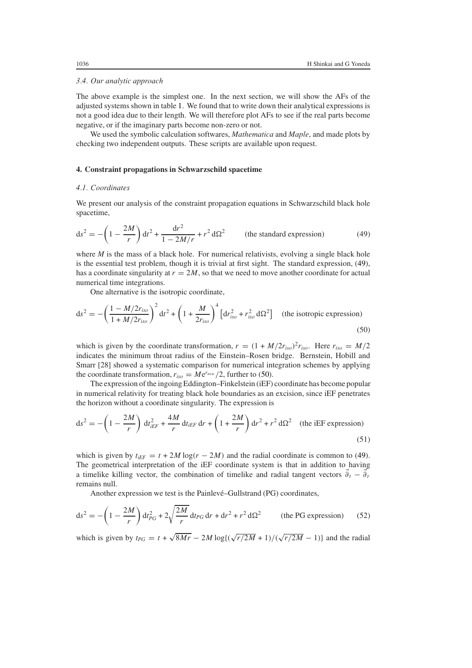#### *3.4. Our analytic approach*

The above example is the simplest one. In the next section, we will show the AFs of the adjusted systems shown in table [1.](#page-6-0) We found that to write down their analytical expressions is not a good idea due to their length. We will therefore plot AFs to see if the real parts become negative, or if the imaginary parts become non-zero or not.

We used the symbolic calculation softwares, *Mathematica* and *Maple*, and made plots by checking two independent outputs. These scripts are available upon request.

## <span id="page-9-0"></span>**4. Constraint propagations in Schwarzschild spacetime**

## *4.1. Coordinates*

We present our analysis of the constraint propagation equations in Schwarzschild black hole spacetime,

<span id="page-9-1"></span>
$$
ds^{2} = -\left(1 - \frac{2M}{r}\right)dt^{2} + \frac{dr^{2}}{1 - 2M/r} + r^{2} d\Omega^{2}
$$
 (the standard expression) (49)

where *M* is the mass of a black hole. For numerical relativists, evolving a single black hole is the essential test problem, though it is trivial at first sight. The standard expression, [\(49\)](#page-9-1), has a coordinate singularity at  $r = 2M$ , so that we need to move another coordinate for actual numerical time integrations.

One alternative is the isotropic coordinate,

<span id="page-9-2"></span>
$$
ds^{2} = -\left(\frac{1 - M/2r_{iso}}{1 + M/2r_{iso}}\right)^{2} dt^{2} + \left(1 + \frac{M}{2r_{iso}}\right)^{4} \left[dr_{iso}^{2} + r_{iso}^{2} d\Omega^{2}\right]
$$
 (the isotropic expression) (50)

which is given by the coordinate transformation,  $r = (1 + M/2r_{iso})^2r_{iso}$ . Here  $r_{iso} = M/2$ indicates the minimum throat radius of the Einstein–Rosen bridge. Bernstein, Hobill and Smarr [28] showed a systematic comparison for numerical integration schemes by applying the coordinate transformation,  $r_{iso} = Me^{r_{new}}/2$ , further to [\(50\)](#page-9-2).

The expression of the ingoing Eddington–Finkelstein (iEF) coordinate has become popular in numerical relativity for treating black hole boundaries as an excision, since iEF penetrates the horizon without a coordinate singularity. The expression is

<span id="page-9-3"></span>
$$
ds^{2} = -\left(1 - \frac{2M}{r}\right) dt_{iEF}^{2} + \frac{4M}{r} dt_{iEF} dr + \left(1 + \frac{2M}{r}\right) dr^{2} + r^{2} d\Omega^{2} \quad \text{(the iEF expression)}
$$
\n(51)

which is given by  $t_{iEF} = t + 2M \log(r - 2M)$  and the radial coordinate is common to [\(49\)](#page-9-1). The geometrical interpretation of the iEF coordinate system is that in addition to having a timelike killing vector, the combination of timelike and radial tangent vectors  $\vec{\theta}_t - \vec{\theta}_r$ remains null.

Another expression we test is the Painlevé–Gullstrand (PG) coordinates,

<span id="page-9-4"></span>
$$
ds^{2} = -\left(1 - \frac{2M}{r}\right)dt_{PG}^{2} + 2\sqrt{\frac{2M}{r}}dt_{PG} dr + dr^{2} + r^{2} d\Omega^{2}
$$
 (the PG expression) (52)

which is given by  $t_{PG} = t + \sqrt{8Mr} - 2M \log\left(\frac{\sqrt{r/2M} + 1}{\sqrt{r/2M} - 1}\right)$  and the radial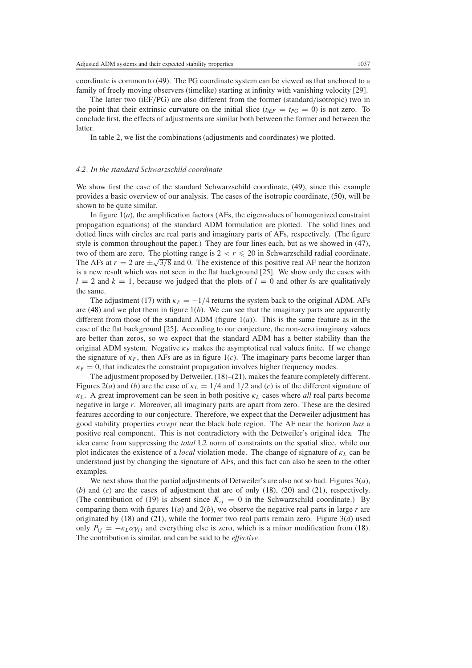coordinate is common to [\(49\)](#page-9-1). The PG coordinate system can be viewed as that anchored to a family of freely moving observers (timelike) starting at infinity with vanishing velocity [29].

The latter two (iEF*/*PG) are also different from the former (standard*/*isotropic) two in the point that their extrinsic curvature on the initial slice ( $t_{iEF} = t_{PG} = 0$ ) is not zero. To conclude first, the effects of adjustments are similar both between the former and between the latter.

In table [2,](#page-6-1) we list the combinations (adjustments and coordinates) we plotted.

## *4.2. In the standard Schwarzschild coordinate*

We show first the case of the standard Schwarzschild coordinate, [\(49\)](#page-9-1), since this example provides a basic overview of our analysis. The cases of the isotropic coordinate, [\(50\)](#page-9-2), will be shown to be quite similar.

In figure 1(*a*), the amplification factors (AFs, the eigenvalues of homogenized constraint propagation equations) of the standard ADM formulation are plotted. The solid lines and dotted lines with circles are real parts and imaginary parts of AFs, respectively. (The figure style is common throughout the paper.) They are four lines each, but as we showed in [\(47\)](#page-8-3), two of them are zero. The plotting range is  $2 < r \leq 20$  in Schwarzschild radial coordinate. The AFs at  $r = 2$  are  $\pm \sqrt{3/8}$  and 0. The existence of this positive real AF near the horizon is a new result which was not seen in the flat background [25]. We show only the cases with  $l = 2$  and  $k = 1$ , because we judged that the plots of  $l = 0$  and other *k*s are qualitatively the same.

The adjustment [\(17\)](#page-5-3) with  $\kappa_F = -1/4$  returns the system back to the original ADM. AFs are  $(48)$  and we plot them in figure  $1(b)$ . We can see that the imaginary parts are apparently different from those of the standard ADM (figure 1(*a*)). This is the same feature as in the case of the flat background [25]. According to our conjecture, the non-zero imaginary values are better than zeros, so we expect that the standard ADM has a better stability than the original ADM system. Negative  $\kappa_F$  makes the asymptotical real values finite. If we change the signature of  $\kappa_F$ , then AFs are as in figure 1(*c*). The imaginary parts become larger than  $\kappa_F = 0$ , that indicates the constraint propagation involves higher frequency modes.

The adjustment proposed by Detweiler, [\(18\)](#page-5-1)–[\(21\)](#page-5-2), makes the feature completely different. Figures 2(*a*) and (*b*) are the case of  $\kappa_L = 1/4$  and 1/2 and (*c*) is of the different signature of  $\kappa_L$ . A great improvement can be seen in both positive  $\kappa_L$  cases where *all* real parts become negative in large *r*. Moreover, all imaginary parts are apart from zero. These are the desired features according to our conjecture. Therefore, we expect that the Detweiler adjustment has good stability properties *except* near the black hole region. The AF near the horizon *has* a positive real component. This is not contradictory with the Detweiler's original idea. The idea came from suppressing the *total* L2 norm of constraints on the spatial slice, while our plot indicates the existence of a *local* violation mode. The change of signature of *κL* can be understood just by changing the signature of AFs, and this fact can also be seen to the other examples.

We next show that the partial adjustments of Detweiler's are also not so bad. Figures 3(*a*), (*b*) and (*c*) are the cases of adjustment that are of only [\(18\)](#page-5-1), [\(20\)](#page-5-4) and [\(21\)](#page-5-2), respectively. (The contribution of [\(19\)](#page-5-5) is absent since  $K_{ij} = 0$  in the Schwarzschild coordinate.) By comparing them with figures  $1(a)$  and  $2(b)$ , we observe the negative real parts in large r are originated by [\(18\)](#page-5-1) and [\(21\)](#page-5-2), while the former two real parts remain zero. Figure 3(*d*) used only  $P_{ij} = -\kappa_L \alpha \gamma_{ij}$  and everything else is zero, which is a minor modification from [\(18\)](#page-5-1). The contribution is similar, and can be said to be *effective*.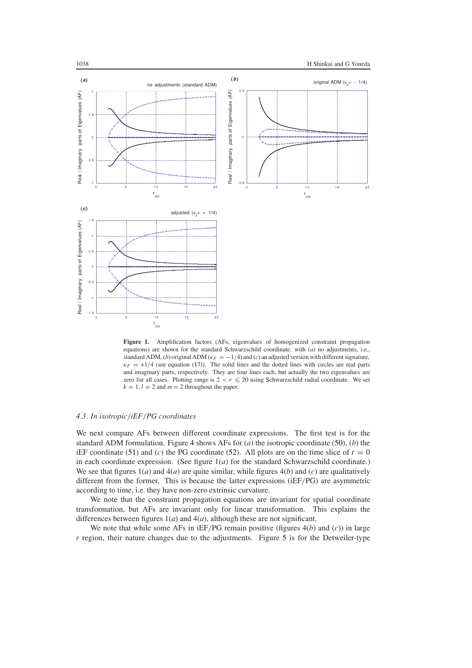

<span id="page-11-0"></span>**Figure 1.** Amplification factors (AFs, eigenvalues of homogenized constraint propagation equations) are shown for the standard Schwarzschild coordinate, with (*a*) no adjustments, i.e., standard ADM, (*b*) original ADM ( $\kappa_F = -1/4$ ) and (*c*) an adjusted version with different signature,  $\kappa_F = +1/4$  (see equation [\(17\)](#page-5-3)). The solid lines and the dotted lines with circles are real parts and imaginary parts, respectively. They are four lines each, but actually the two eigenvalues are zero for all cases. Plotting range is  $2 < r \le 20$  using Schwarzschild radial coordinate. We set  $k = 1, l = 2$  and  $m = 2$  throughout the paper.

#### *4.3. In isotropic/iEF/PG coordinates*

We next compare AFs between different coordinate expressions. The first test is for the standard ADM formulation. Figure [4](#page-14-0) shows AFs for (*a*) the isotropic coordinate [\(50\)](#page-9-2), (*b*) the iEF coordinate [\(51\)](#page-9-3) and (*c*) the PG coordinate [\(52\)](#page-9-4). All plots are on the time slice of  $t = 0$ in each coordinate expression. (See figure  $1(a)$  for the standard Schwarzschild coordinate.) We see that figures  $1(a)$  and  $4(a)$  are quite similar, while figures  $4(b)$  and (*c*) are qualitatively different from the former. This is because the latter expressions (iEF*/*PG) are asymmetric according to time, i.e. they have non-zero extrinsic curvature.

We note that the constraint propagation equations are invariant for spatial coordinate transformation, but AFs are invariant only for linear transformation. This explains the differences between figures 1(*a*) and 4(*a*), although these are not significant.

We note that while some AFs in iEF*/*PG remain positive (figures 4(*b*) and (*c*)) in large *r* region, their nature changes due to the adjustments. Figure [5](#page-15-1) is for the Detweiler-type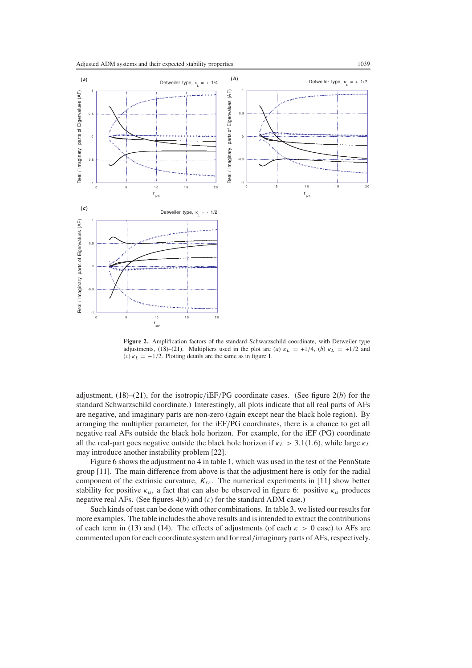

**Figure 2.** Amplification factors of the standard Schwarzschild coordinate, with Detweiler type adjustments, [\(18\)](#page-5-1)–[\(21\)](#page-5-2). Multipliers used in the plot are (*a*)  $\kappa_L = +1/4$ , (*b*)  $\kappa_L = +1/2$  and (*c*)  $\kappa_L = -1/2$ . Plotting details are the same as in figure [1.](#page-11-0)

adjustment, [\(18\)](#page-5-1)–[\(21\)](#page-5-2), for the isotropic*/*iEF*/*PG coordinate cases. (See figure 2(*b*) for the standard Schwarzschild coordinate.) Interestingly, all plots indicate that all real parts of AFs are negative, and imaginary parts are non-zero (again except near the black hole region). By arranging the multiplier parameter, for the iEF*/*PG coordinates, there is a chance to get all negative real AFs outside the black hole horizon. For example, for the iEF (PG) coordinate all the real-part goes negative outside the black hole horizon if  $\kappa_L > 3.1(1.6)$ , while large  $\kappa_L$ may introduce another instability problem [22].

Figure [6](#page-16-0) shows the adjustment no 4 in table [1,](#page-6-0) which was used in the test of the PennState group [11]. The main difference from above is that the adjustment here is only for the radial component of the extrinsic curvature,  $K_{rr}$ . The numerical experiments in [11] show better stability for positive  $\kappa_{\mu}$ , a fact that can also be observed in figure [6:](#page-16-0) positive  $\kappa_{\mu}$  produces negative real AFs. (See figures 4(*b*) and (*c*) for the standard ADM case.)

Such kinds of test can be done with other combinations. In table [3,](#page-17-0) we listed our results for more examples. The table includes the above results and is intended to extract the contributions of each term in [\(13\)](#page-4-6) and [\(14\)](#page-4-7). The effects of adjustments (of each  $\kappa > 0$  case) to AFs are commented upon for each coordinate system and for real*/*imaginary parts of AFs, respectively.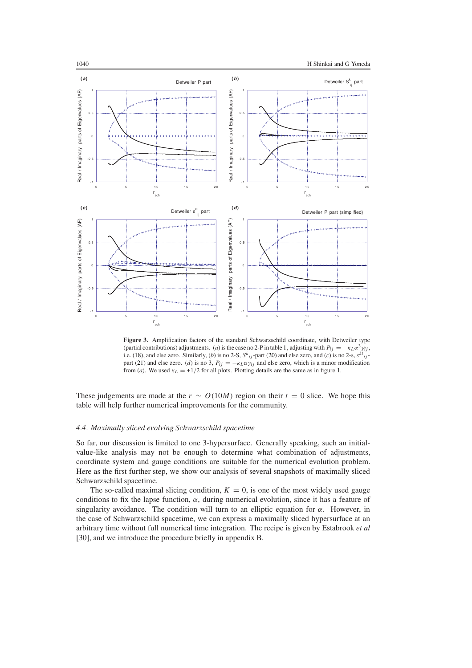

**Figure 3.** Amplification factors of the standard Schwarzschild coordinate, with Detweiler type (partial contributions) adjustments. (*a*) is the case no 2-P in table [1,](#page-6-0) adjusting with  $P_{ij} = -\kappa_L \alpha^3 \gamma_{ij}$ , i.e. [\(18\)](#page-5-1), and else zero. Similarly, (*b*) is no 2-S,  $S^k_{ij}$ -part [\(20\)](#page-5-4) and else zero, and (*c*) is no 2-s,  $S^k_{ij}$ -part [\(21\)](#page-5-2) and else zero. (*d*) is no 3,  $P_{ij} = -\kappa_L \alpha \gamma_{ij}$  and else zero, which is a minor modification from (*a*). We used  $\kappa_L = +1/2$  for all plots. Plotting details are the same as in figure [1.](#page-11-0)

These judgements are made at the  $r \sim O(10M)$  region on their  $t = 0$  slice. We hope this table will help further numerical improvements for the community.

#### *4.4. Maximally sliced evolving Schwarzschild spacetime*

So far, our discussion is limited to one 3-hypersurface. Generally speaking, such an initialvalue-like analysis may not be enough to determine what combination of adjustments, coordinate system and gauge conditions are suitable for the numerical evolution problem. Here as the first further step, we show our analysis of several snapshots of maximally sliced Schwarzschild spacetime.

The so-called maximal slicing condition,  $K = 0$ , is one of the most widely used gauge conditions to fix the lapse function,  $\alpha$ , during numerical evolution, since it has a feature of singularity avoidance. The condition will turn to an elliptic equation for  $\alpha$ . However, in the case of Schwarzschild spacetime, we can express a maximally sliced hypersurface at an arbitrary time without full numerical time integration. The recipe is given by Estabrook *et al* [30], and we introduce the procedure briefly in appendix B.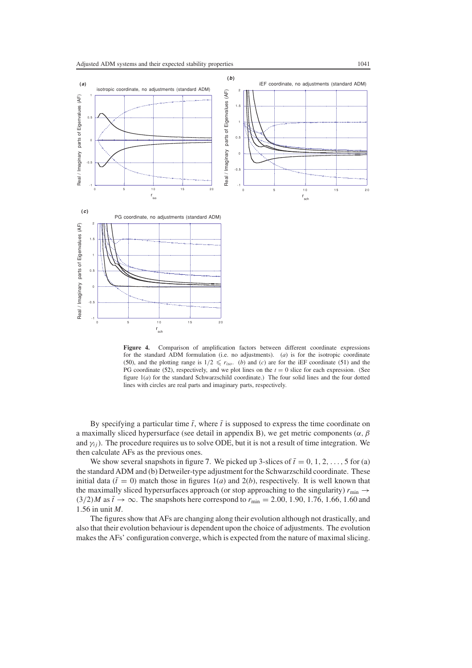

<span id="page-14-0"></span>**Figure 4.** Comparison of amplification factors between different coordinate expressions for the standard ADM formulation (i.e. no adjustments). (*a*) is for the isotropic coordinate [\(50\)](#page-9-2), and the plotting range is  $1/2 \le r_{iso}$ . (*b*) and (*c*) are for the iEF coordinate [\(51\)](#page-9-3) and the PG coordinate [\(52\)](#page-9-4), respectively, and we plot lines on the  $t = 0$  slice for each expression. (See figure 1(*a*) for the standard Schwarzschild coordinate.) The four solid lines and the four dotted lines with circles are real parts and imaginary parts, respectively.

By specifying a particular time  $\bar{t}$ , where  $\bar{t}$  is supposed to express the time coordinate on a maximally sliced hypersurface (see detail in appendix B), we get metric components (*α, β* and  $\gamma_{ij}$ ). The procedure requires us to solve ODE, but it is not a result of time integration. We then calculate AFs as the previous ones.

We show several snapshots in figure [7.](#page-18-1) We picked up 3-slices of  $\bar{t} = 0, 1, 2, \ldots, 5$  for (a) the standard ADM and (b) Detweiler-type adjustment for the Schwarzschild coordinate. These initial data ( $\bar{t} = 0$ ) match those in figures 1(*a*) and 2(*b*), respectively. It is well known that the maximally sliced hypersurfaces approach (or stop approaching to the singularity)  $r_{\text{min}} \rightarrow$  $(3/2)M$  as  $\bar{t} \to \infty$ . The snapshots here correspond to  $r_{\min} = 2.00, 1.90, 1.76, 1.66, 1.60$  and 1*.*56 in unit *M*.

The figures show that AFs are changing along their evolution although not drastically, and also that their evolution behaviour is dependent upon the choice of adjustments. The evolution makes the AFs' configuration converge, which is expected from the nature of maximal slicing.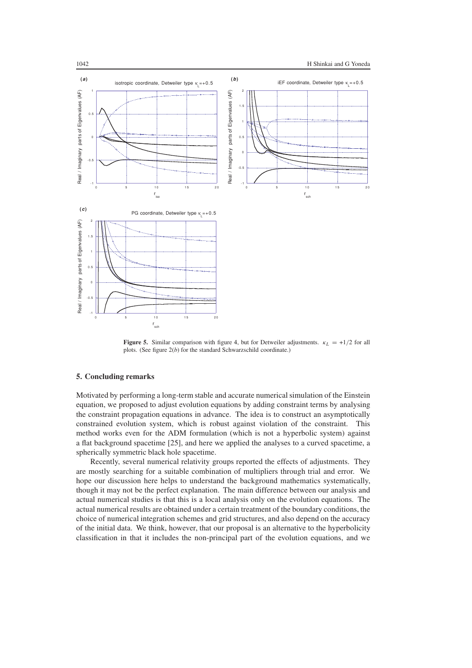

<span id="page-15-1"></span>**Figure 5.** Similar comparison with figure [4,](#page-14-0) but for Detweiler adjustments.  $\kappa_L = +1/2$  for all plots. (See figure 2(*b*) for the standard Schwarzschild coordinate.)

## <span id="page-15-0"></span>**5. Concluding remarks**

Motivated by performing a long-term stable and accurate numerical simulation of the Einstein equation, we proposed to adjust evolution equations by adding constraint terms by analysing the constraint propagation equations in advance. The idea is to construct an asymptotically constrained evolution system, which is robust against violation of the constraint. This method works even for the ADM formulation (which is not a hyperbolic system) against a flat background spacetime [25], and here we applied the analyses to a curved spacetime, a spherically symmetric black hole spacetime.

Recently, several numerical relativity groups reported the effects of adjustments. They are mostly searching for a suitable combination of multipliers through trial and error. We hope our discussion here helps to understand the background mathematics systematically, though it may not be the perfect explanation. The main difference between our analysis and actual numerical studies is that this is a local analysis only on the evolution equations. The actual numerical results are obtained under a certain treatment of the boundary conditions, the choice of numerical integration schemes and grid structures, and also depend on the accuracy of the initial data. We think, however, that our proposal is an alternative to the hyperbolicity classification in that it includes the non-principal part of the evolution equations, and we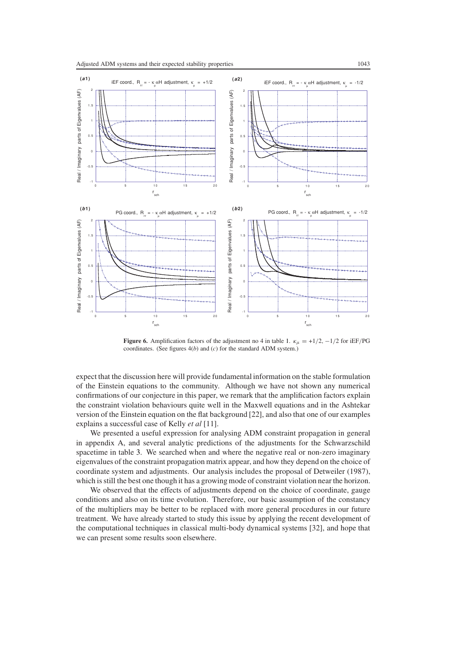

<span id="page-16-0"></span>**Figure 6.** Amplification factors of the adjustment no 4 in table [1.](#page-6-0)  $\kappa_{\mu} = +1/2, -1/2$  for iEF/PG coordinates. (See figures 4(*b*) and (*c*) for the standard ADM system.)

expect that the discussion here will provide fundamental information on the stable formulation of the Einstein equations to the community. Although we have not shown any numerical confirmations of our conjecture in this paper, we remark that the amplification factors explain the constraint violation behaviours quite well in the Maxwell equations and in the Ashtekar version of the Einstein equation on the flat background [22], and also that one of our examples explains a successful case of Kelly *et al* [11].

We presented a useful expression for analysing ADM constraint propagation in general in appendix A, and several analytic predictions of the adjustments for the Schwarzschild spacetime in table [3.](#page-17-0) We searched when and where the negative real or non-zero imaginary eigenvalues of the constraint propagation matrix appear, and how they depend on the choice of coordinate system and adjustments. Our analysis includes the proposal of Detweiler (1987), which is still the best one though it has a growing mode of constraint violation near the horizon.

We observed that the effects of adjustments depend on the choice of coordinate, gauge conditions and also on its time evolution. Therefore, our basic assumption of the constancy of the multipliers may be better to be replaced with more general procedures in our future treatment. We have already started to study this issue by applying the recent development of the computational techniques in classical multi-body dynamical systems [32], and hope that we can present some results soon elsewhere.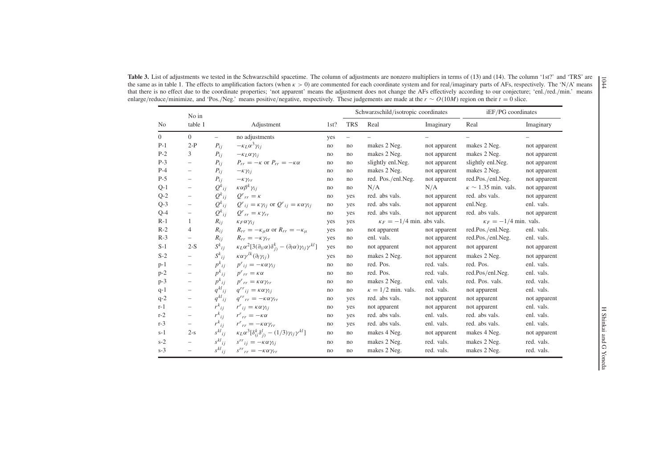<span id="page-17-0"></span>

|          | No in                    |                          |                                                                                                      |     | Schwarzschild/isotropic coordinates |                                  |              | iEF/PG coordinates            |              |
|----------|--------------------------|--------------------------|------------------------------------------------------------------------------------------------------|-----|-------------------------------------|----------------------------------|--------------|-------------------------------|--------------|
| No       | table 1                  |                          | Adjustment                                                                                           |     | <b>TRS</b>                          | Real                             | Imaginary    | Real                          | Imaginary    |
| $\Omega$ | $\mathbf{0}$             | $\overline{\phantom{0}}$ | no adjustments                                                                                       | yes | $\overline{\phantom{m}}$            |                                  |              |                               |              |
| $P-1$    | $2-P$                    | $P_{ii}$                 | $-\kappa_L \alpha^3 \gamma_{ij}$                                                                     | no  | no                                  | makes 2 Neg.                     | not apparent | makes 2 Neg.                  | not apparent |
| $P-2$    | 3                        | $P_{ij}$                 | $-\kappa_L \alpha \gamma_{ii}$                                                                       | no  | no                                  | makes 2 Neg.                     | not apparent | makes 2 Neg.                  | not apparent |
| $P-3$    | $\qquad \qquad -$        | $P_{ij}$                 | $P_{rr} = -\kappa$ or $P_{rr} = -\kappa \alpha$                                                      | no  | no                                  | slightly enl.Neg.                | not apparent | slightly enl.Neg.             | not apparent |
| $P-4$    | $\qquad \qquad -$        | $P_{ij}$                 | $-\kappa\gamma_{ij}$                                                                                 | no  | no                                  | makes 2 Neg.                     | not apparent | makes 2 Neg.                  | not apparent |
| $P-5$    | $\overline{\phantom{0}}$ | $P_{ij}$                 | $-\kappa \gamma_{rr}$                                                                                | no  | no                                  | red. Pos./enl.Neg.               | not apparent | red.Pos./enl.Neg.             | not apparent |
| $Q-1$    | $\overline{\phantom{m}}$ | $Q^k{}_{ij}$             | $\kappa \alpha \beta^k \gamma_{ij}$                                                                  | no  | no                                  | N/A                              | N/A          | $\kappa \sim 1.35$ min. vals. | not apparent |
| $Q-2$    | $\qquad \qquad -$        | $Q_{ij}^k$               | $Q^r{}_{rr} = \kappa$                                                                                | no  | yes                                 | red. abs vals.                   | not apparent | red. abs vals.                | not apparent |
| $Q-3$    | $\overline{\phantom{m}}$ | $Q^k{}_{ij}$             | $Q^{r}{}_{ij} = \kappa \gamma_{ij}$ or $Q^{r}{}_{ij} = \kappa \alpha \gamma_{ij}$                    | no  | yes                                 | red. abs vals.                   | not apparent | enl.Neg.                      | enl. vals.   |
| $Q-4$    | $\overline{\phantom{a}}$ | $Q_{ij}^k$               | $Q^r{}_{rr} = \kappa \gamma_{rr}$                                                                    | no  | yes                                 | red. abs vals.                   | not apparent | red. abs vals.                | not apparent |
| $R-1$    | -1                       | $R_{ij}$                 | $\kappa_F \alpha \gamma_{ii}$                                                                        | yes | yes                                 | $\kappa_F = -1/4$ min. abs vals. |              | $\kappa_F = -1/4$ min. vals.  |              |
| $R-2$    | $\overline{4}$           | $R_{ij}$                 | $R_{rr} = -\kappa_{\mu} \alpha$ or $R_{rr} = -\kappa_{\mu}$                                          | yes | no                                  | not apparent                     | not apparent | red.Pos./enl.Neg.             | enl. vals.   |
| $R-3$    | $\overline{\phantom{0}}$ | $R_{ij}$                 | $R_{rr} = -\kappa \gamma_{rr}$                                                                       | yes | no                                  | enl. vals.                       | not apparent | red.Pos./enl.Neg.             | enl. vals.   |
| $S-1$    | $2-S$                    | $S^k_{ij}$               | $\kappa_L \alpha^2 [3(\partial_{(i}\alpha)\delta_{j)}^k - (\partial_l\alpha)\gamma_{ij}\gamma^{kl}]$ | yes | no                                  | not apparent                     | not apparent | not apparent                  | not apparent |
| $S-2$    | $\overline{\phantom{0}}$ | $S^k_{ij}$               | $\kappa \alpha \gamma^{lk} (\partial_l \gamma_{ij})$                                                 | yes | no                                  | makes 2 Neg.                     | not apparent | makes 2 Neg.                  | not apparent |
| $p-1$    | $\overline{\phantom{a}}$ | $p^k_{ij}$               | $p^{r}_{ij} = -\kappa \alpha \gamma_{ij}$                                                            | no  | no                                  | red. Pos.                        | red. vals.   | red. Pos.                     | enl. vals.   |
| $p-2$    | $\qquad \qquad -$        | $p^k_{ij}$               | $p^{r}_{rr} = \kappa \alpha$                                                                         | no  | no                                  | red. Pos.                        | red. vals.   | red.Pos/enl.Neg.              | enl. vals.   |
| $p-3$    | $\overline{\phantom{a}}$ | $p^{k}{}_{ij}$           | $p^{r}_{rr} = \kappa \alpha \gamma_{rr}$                                                             | no  | no                                  | makes 2 Neg.                     | enl. vals.   | red. Pos. vals.               | red. vals.   |
| $q-1$    | $\qquad \qquad -$        | $q^{kl}{}_{ij}$          | $q^{rr}_{ii} = \kappa \alpha \gamma_{ii}$                                                            | no  | no                                  | $\kappa = 1/2$ min. vals.        | red. vals.   | not apparent                  | enl. vals.   |
| $q-2$    | $\qquad \qquad -$        | $q^{kl}{}_{ij}$          | $q^{rr}_{rr} = -\kappa \alpha \gamma_{rr}$                                                           | no  | yes                                 | red. abs vals.                   | not apparent | not apparent                  | not apparent |
| $r-1$    | $\qquad \qquad -$        | $r^k_{ij}$               | $r^{r}_{ii} = \kappa \alpha \gamma_{ii}$                                                             | no  | yes                                 | not apparent                     | not apparent | not apparent                  | enl. vals.   |
| $r-2$    | $\overline{\phantom{m}}$ | $r_{ij}^k$               | $r^r{}_{rr} = -\kappa \alpha$                                                                        | no  | yes                                 | red. abs vals.                   | enl. vals.   | red. abs vals.                | enl. vals.   |
| $r-3$    | -                        | $r_{ij}^k$               | $r^r{}_{rr} = -\kappa \alpha \gamma_{rr}$                                                            | no  | yes                                 | red. abs vals.                   | enl. vals.   | red. abs vals.                | enl. vals.   |
| $s-1$    | $2-s$                    | $s^{kl}$ <sub>ij</sub>   | $\kappa_L \alpha^3 [\delta_{(i}^k \delta_{j)}^l - (1/3) \gamma_{ij} \gamma^{kl}]$                    | no  | no                                  | makes 4 Neg.                     | not apparent | makes 4 Neg.                  | not apparent |
| $s-2$    | $\overline{\phantom{0}}$ | $s^{kl}$ <sub>ij</sub>   | $s^{rr}_{ij} = -\kappa \alpha \gamma_{ij}$                                                           | no  | no                                  | makes 2 Neg.                     | red. vals.   | makes 2 Neg.                  | red. vals.   |
| $s-3$    | $\overline{\phantom{a}}$ | $s^{kl}$ <sub>ij</sub>   | $s^{rr}_{rr} = -\kappa \alpha \gamma_{rr}$                                                           | no  | no                                  | makes 2 Neg.                     | red. vals.   | makes 2 Neg.                  | red. vals.   |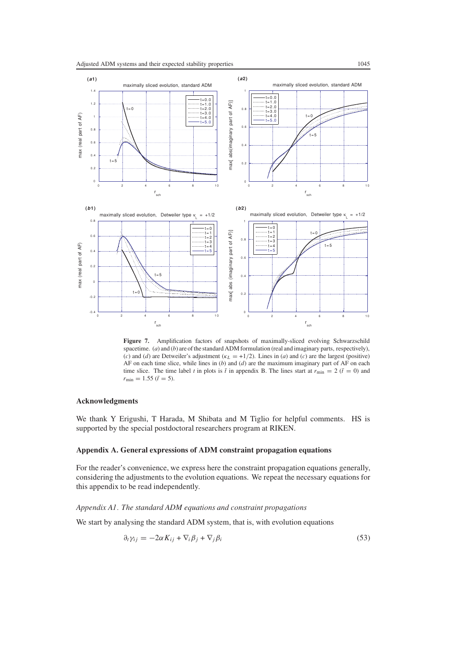

<span id="page-18-1"></span>Figure 7. Amplification factors of snapshots of maximally-sliced evolving Schwarzschild spacetime. (*a*) and (*b*) are of the standard ADM formulation (real and imaginary parts, respectively), (*c*) and (*d*) are Detweiler's adjustment ( $\kappa_L = +1/2$ ). Lines in (*a*) and (*c*) are the largest (positive) AF on each time slice, while lines in (*b*) and (*d*) are the maximum imaginary part of AF on each time slice. The time label *t* in plots is  $\bar{t}$  in appendix B. The lines start at  $r_{\text{min}} = 2$  ( $\bar{t} = 0$ ) and  $r_{\text{min}} = 1.55$  ( $\bar{t} = 5$ ).

#### **Acknowledgments**

We thank Y Erigushi, T Harada, M Shibata and M Tiglio for helpful comments. HS is supported by the special postdoctoral researchers program at RIKEN.

## <span id="page-18-0"></span>**Appendix A. General expressions of ADM constraint propagation equations**

For the reader's convenience, we express here the constraint propagation equations generally, considering the adjustments to the evolution equations. We repeat the necessary equations for this appendix to be read independently.

*Appendix A1. The standard ADM equations and constraint propagations*

<span id="page-18-2"></span>We start by analysing the standard ADM system, that is, with evolution equations

$$
\partial_t \gamma_{ij} = -2\alpha K_{ij} + \nabla_i \beta_j + \nabla_j \beta_i \tag{53}
$$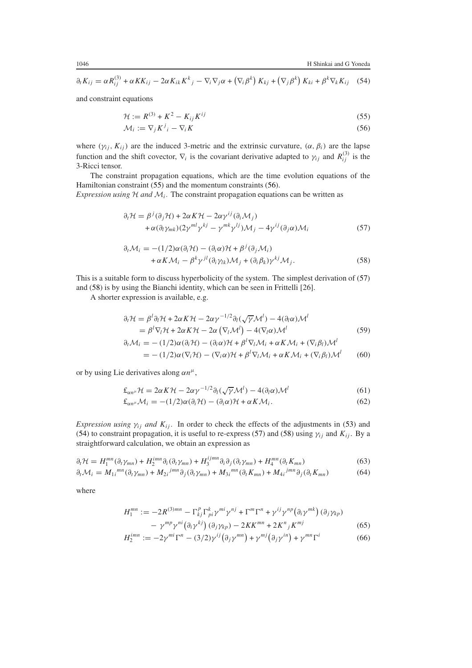<span id="page-19-4"></span>
$$
\partial_t K_{ij} = \alpha R_{ij}^{(3)} + \alpha K K_{ij} - 2\alpha K_{ik} K^k{}_j - \nabla_i \nabla_j \alpha + (\nabla_i \beta^k) K_{kj} + (\nabla_j \beta^k) K_{ki} + \beta^k \nabla_k K_{ij}
$$
 (54)

<span id="page-19-1"></span><span id="page-19-0"></span>and constraint equations

$$
\mathcal{H} := R^{(3)} + K^2 - K_{ij} K^{ij} \tag{55}
$$

$$
\mathcal{M}_i := \nabla_j K^j_{\;i} - \nabla_i K \tag{56}
$$

where  $(\gamma_{ij}, K_{ij})$  are the induced 3-metric and the extrinsic curvature,  $(\alpha, \beta_i)$  are the lapse function and the shift covector,  $\nabla_i$  is the covariant derivative adapted to  $\gamma_{ij}$  and  $R^{(3)}_{ij}$  is the 3-Ricci tensor.

The constraint propagation equations, which are the time evolution equations of the Hamiltonian constraint [\(55\)](#page-19-0) and the momentum constraints [\(56\)](#page-19-1).

<span id="page-19-2"></span>*Expression using*  $H$  *and*  $M$ <sup>*i*</sup>. The constraint propagation equations can be written as

$$
\partial_t \mathcal{H} = \beta^j (\partial_j \mathcal{H}) + 2\alpha K \mathcal{H} - 2\alpha \gamma^{ij} (\partial_i \mathcal{M}_j) + \alpha (\partial_l \gamma_{mk}) (2\gamma^{ml} \gamma^{kj} - \gamma^{mk} \gamma^{lj}) \mathcal{M}_j - 4\gamma^{ij} (\partial_j \alpha) \mathcal{M}_i
$$
(57)

$$
\partial_t \mathcal{M}_i = -(1/2)\alpha(\partial_i \mathcal{H}) - (\partial_i \alpha)\mathcal{H} + \beta^j(\partial_j \mathcal{M}_i) + \alpha K \mathcal{M}_i - \beta^k \gamma^{jl}(\partial_i \gamma_{lk}) \mathcal{M}_j + (\partial_i \beta_k) \gamma^{kj} \mathcal{M}_j.
$$
(58)

<span id="page-19-3"></span>This is a suitable form to discuss hyperbolicity of the system. The simplest derivation of [\(57\)](#page-19-2) and [\(58\)](#page-19-3) is by using the Bianchi identity, which can be seen in Frittelli [26].

A shorter expression is available, e.g.

$$
\partial_t \mathcal{H} = \beta^l \partial_l \mathcal{H} + 2\alpha K \mathcal{H} - 2\alpha \gamma^{-1/2} \partial_l (\sqrt{\gamma} \mathcal{M}^l) - 4(\partial_l \alpha) \mathcal{M}^l
$$
  
\n
$$
= \beta^l \nabla_l \mathcal{H} + 2\alpha K \mathcal{H} - 2\alpha (\nabla_l \mathcal{M}^l) - 4(\nabla_l \alpha) \mathcal{M}^l
$$
  
\n
$$
\partial_t \mathcal{M}_i = -(1/2)\alpha(\partial_i \mathcal{H}) - (\partial_i \alpha) \mathcal{H} + \beta^l \nabla_l \mathcal{M}_i + \alpha K \mathcal{M}_i + (\nabla_i \beta_l) \mathcal{M}^l
$$
 (59)

$$
= - (1/2)\alpha(\nabla_i \mathcal{H}) - (\nabla_i \alpha)\mathcal{H} + \beta^l \nabla_l \mathcal{M}_i + \alpha K \mathcal{M}_i + (\nabla_i \beta_l) \mathcal{M}^l \tag{60}
$$

or by using Lie derivatives along *αnµ*,

$$
\pounds_{\alpha n^{\mu}} \mathcal{H} = 2\alpha K \mathcal{H} - 2\alpha \gamma^{-1/2} \partial_l(\sqrt{\gamma} \mathcal{M}^l) - 4(\partial_l \alpha) \mathcal{M}^l \tag{61}
$$

$$
\pounds_{\alpha n^{\mu}} \mathcal{M}_i = -(1/2)\alpha(\partial_i \mathcal{H}) - (\partial_i \alpha)\mathcal{H} + \alpha K \mathcal{M}_i.
$$
\n(62)

*Expression using*  $\gamma_{ij}$  *and*  $K_{ij}$ . In order to check the effects of the adjustments in [\(53\)](#page-18-2) and [\(54\)](#page-19-4) to constraint propagation, it is useful to re-express [\(57\)](#page-19-2) and [\(58\)](#page-19-3) using  $\gamma_{ij}$  and  $K_{ij}$ . By a straightforward calculation, we obtain an expression as

<span id="page-19-6"></span><span id="page-19-5"></span>
$$
\partial_t \mathcal{H} = H_1^{mn}(\partial_t \gamma_{mn}) + H_2^{imn} \partial_i (\partial_t \gamma_{mn}) + H_3^{ijmn} \partial_i \partial_j (\partial_t \gamma_{mn}) + H_4^{mn} (\partial_t K_{mn}) \tag{63}
$$

$$
\partial_t \mathcal{M}_i = M_{1i}^{mn} (\partial_t \gamma_{mn}) + M_{2i}^{jmn} \partial_j (\partial_t \gamma_{mn}) + M_{3i}^{mn} (\partial_t K_{mn}) + M_{4i}^{jmn} \partial_j (\partial_t K_{mn}) \tag{64}
$$

where

$$
H_1^{mn} := -2R^{(3)mn} - \Gamma_{kj}^p \Gamma_{pi}^k \gamma^{mi} \gamma^{nj} + \Gamma^m \Gamma^n + \gamma^{ij} \gamma^{np} (\partial_i \gamma^{mk}) (\partial_j \gamma_{kp})
$$
  

$$
- \gamma^{mp} \gamma^{ni} (\partial_i \gamma^{kj}) (\partial_j \gamma_{kp}) - 2KK^{mn} + 2K^n{}_j K^{mj}
$$
(65)

$$
H_2^{imm} := -2\gamma^{mi}\Gamma^n - (3/2)\gamma^{ij}\left(\partial_j\gamma^{mn}\right) + \gamma^{mj}\left(\partial_j\gamma^{in}\right) + \gamma^{mn}\Gamma^i\tag{66}
$$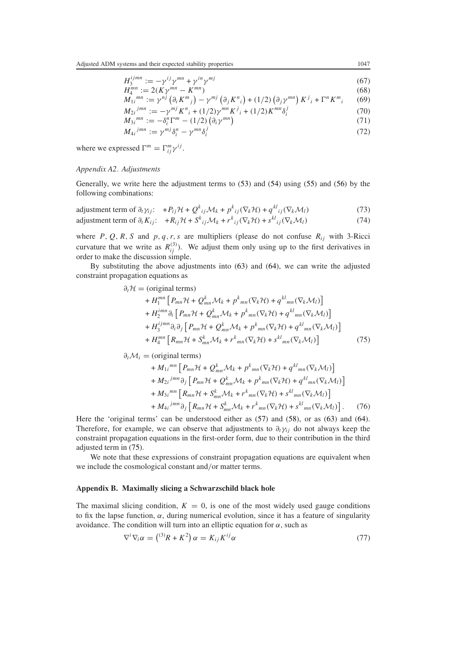$H_3^{ijmn} := -\gamma^{ij}\gamma^{mn} + \gamma^{in}\gamma^{mj}$  (67)

$$
H_4^{mn} := 2(K\gamma^{mn} - K^{mn})
$$
\n
$$
M_{1i}^{mn} := \gamma^{nj} (\partial_i K^m{}_j) - \gamma^{mj} (\partial_j K^n{}_i) + (1/2) (\partial_j \gamma^{mn}) K^j{}_i + \Gamma^n K^m{}_i
$$
\n(68)

$$
M_{2i}^{jmn} := -\gamma^{mj} K^{n}{}_{i} + (1/2)\gamma^{mn} K^{j}{}_{i} + (1/2) K^{mn} \delta^{j}_{i}
$$
 (70)

$$
M_{2i}^{jmn} := -\gamma^{mj} K^n{}_i + (1/2) \gamma^{mn} K^j{}_i + (1/2) K^{mn} \delta^j_i
$$
  
\n
$$
M_{3i}^{mn} := -\delta^n_i \Gamma^m - (1/2) \left( \partial_i \gamma^{mn} \right)
$$
\n(70)

$$
M_{4i}^{jmn} := \gamma^{mj} \delta_i^n - \gamma^{mn} \delta_i^j \tag{72}
$$

where we expressed 
$$
\Gamma^m = \Gamma^m_{ij} \gamma^{ij}
$$
.

#### *Appendix A2. Adjustments*

Generally, we write here the adjustment terms to [\(53\)](#page-18-2) and [\(54\)](#page-19-4) using [\(55\)](#page-19-0) and [\(56\)](#page-19-1) by the following combinations:

adjustment term of 
$$
\partial_t \gamma_{ij}
$$
:  $+P_{ij} \mathcal{H} + Q^k_{ij} \mathcal{M}_k + p^k_{ij} (\nabla_k \mathcal{H}) + q^{kl}_{ij} (\nabla_k \mathcal{M}_l)$  (73)

adjustment term of 
$$
\partial_t K_{ij}
$$
:  $+R_{ij} \mathcal{H} + S^k_{ij} \mathcal{M}_k + r^k_{ij} (\nabla_k \mathcal{H}) + s^{kl}_{ij} (\nabla_k \mathcal{M}_l)$  (74)

where  $P$ ,  $Q$ ,  $R$ ,  $S$  and  $p$ ,  $q$ ,  $r$ ,  $s$  are multipliers (please do not confuse  $R_{ij}$  with 3-Ricci curvature that we write as  $R^{(3)}_{ij}$ ). We adjust them only using up to the first derivatives in order to make the discussion simple.

<span id="page-20-1"></span>By substituting the above adjustments into [\(63\)](#page-19-5) and [\(64\)](#page-19-6), we can write the adjusted constraint propagation equations as

## $\partial_t$ *H* = (original terms)

$$
+ H_1^{mn} \left[ P_{mn} \mathcal{H} + Q_{mn}^k \mathcal{M}_k + p_{mn}^k (\nabla_k \mathcal{H}) + q^{kl}{}_{mn} (\nabla_k \mathcal{M}_l) \right] + H_2^{imn} \partial_i \left[ P_{mn} \mathcal{H} + Q_{mn}^k \mathcal{M}_k + p_{mn}^k (\nabla_k \mathcal{H}) + q^{kl}{}_{mn} (\nabla_k \mathcal{M}_l) \right] + H_3^{ijmn} \partial_i \partial_j \left[ P_{mn} \mathcal{H} + Q_{mn}^k \mathcal{M}_k + p_{mn}^k (\nabla_k \mathcal{H}) + q^{kl}{}_{mn} (\nabla_k \mathcal{M}_l) \right] + H_4^{mn} \left[ R_{mn} \mathcal{H} + S_{mn}^k \mathcal{M}_k + r_{mn}^k (\nabla_k \mathcal{H}) + s^{kl}{}_{mn} (\nabla_k \mathcal{M}_l) \right]
$$
(75)

 $\partial_t \mathcal{M}_i$  = (original terms)

$$
+ M_{1i}^{mn} \left[ P_{mn} \mathcal{H} + Q_{mn}^k \mathcal{M}_k + p_{mn}^k (\nabla_k \mathcal{H}) + q^{kl}_{mn} (\nabla_k \mathcal{M}_l) \right] + M_{2i}^{jmn} \partial_j \left[ P_{mn} \mathcal{H} + Q_{mn}^k \mathcal{M}_k + p_{mn}^k (\nabla_k \mathcal{H}) + q^{kl}_{mn} (\nabla_k \mathcal{M}_l) \right] + M_{3i}^{mn} \left[ R_{mn} \mathcal{H} + S_{mn}^k \mathcal{M}_k + r_{mn} (\nabla_k \mathcal{H}) + s_{mn}^{kl} (\nabla_k \mathcal{M}_l) \right] + M_{4i}^{jmn} \partial_j \left[ R_{mn} \mathcal{H} + S_{mn}^k \mathcal{M}_k + r_{mn}^k (\nabla_k \mathcal{H}) + s_{mn}^{kl} (\nabla_k \mathcal{M}_l) \right].
$$
 (76)

Here the 'original terms' can be understood either as [\(57\)](#page-19-2) and [\(58\)](#page-19-3), or as [\(63\)](#page-19-5) and [\(64\)](#page-19-6). Therefore, for example, we can observe that adjustments to  $\partial_t \gamma_{ij}$  do not always keep the constraint propagation equations in the first-order form, due to their contribution in the third adjusted term in [\(75\)](#page-20-1).

We note that these expressions of constraint propagation equations are equivalent when we include the cosmological constant and*/*or matter terms.

## <span id="page-20-0"></span>**Appendix B. Maximally slicing a Schwarzschild black hole**

The maximal slicing condition,  $K = 0$ , is one of the most widely used gauge conditions to fix the lapse function,  $\alpha$ , during numerical evolution, since it has a feature of singularity avoidance. The condition will turn into an elliptic equation for  $\alpha$ , such as

$$
\nabla^i \nabla_i \alpha = \binom{^{(3)}R + K^2}{\alpha} = K_{ij} K^{ij} \alpha \tag{77}
$$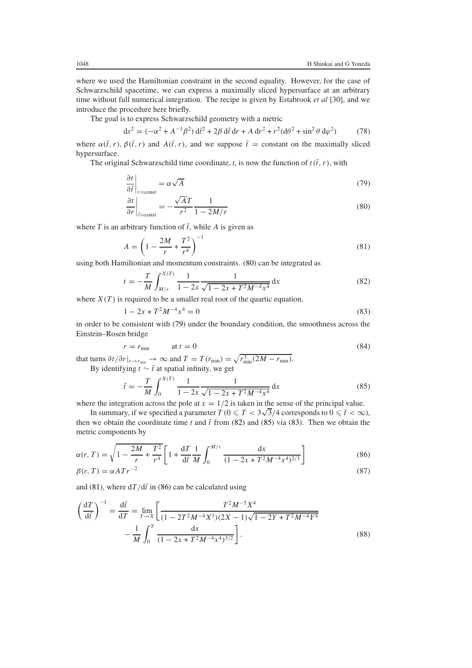where we used the Hamiltonian constraint in the second equality. However, for the case of Schwarzschild spacetime, we can express a maximally sliced hypersurface at an arbitrary time without full numerical integration. The recipe is given by Estabrook *et al* [30], and we introduce the procedure here briefly.

The goal is to express Schwarzschild geometry with a metric

$$
ds^{2} = (-\alpha^{2} + A^{-1}\beta^{2}) d\vec{t}^{2} + 2\beta d\vec{t} dr + A dr^{2} + r^{2}(d\theta^{2} + \sin^{2}\theta d\varphi^{2})
$$
 (78)

where  $\alpha(\bar{t}, r)$ ,  $\beta(\bar{t}, r)$  and  $A(\bar{t}, r)$ , and we suppose  $\bar{t}$  = constant on the maximally sliced hypersurface.

<span id="page-21-1"></span>The original Schwarzschild time coordinate, *t*, is now the function of  $t(\bar{t}, r)$ , with

$$
\left. \frac{\partial t}{\partial \bar{t}} \right|_{r = \text{const}} = \alpha \sqrt{A} \tag{79}
$$

$$
\left. \frac{\partial t}{\partial r} \right|_{\bar{r} = \text{const}} = -\frac{\sqrt{AT}}{r^2} \frac{1}{1 - 2M/r} \tag{80}
$$

<span id="page-21-5"></span><span id="page-21-0"></span>where  $T$  is an arbitrary function of  $\bar{t}$ , while  $A$  is given as

$$
A = \left(1 - \frac{2M}{r} + \frac{T^2}{r^4}\right)^{-1}
$$
\n(81)

<span id="page-21-2"></span>using both Hamiltonian and momentum constraints. [\(80\)](#page-21-0) can be integrated as

$$
t = -\frac{T}{M} \int_{M/r}^{X(T)} \frac{1}{1 - 2x} \frac{1}{\sqrt{1 - 2x + T^2 M^{-4} x^4}} dx
$$
(82)

<span id="page-21-4"></span>where  $X(T)$  is required to be a smaller real root of the quartic equation,

$$
1 - 2x + T^2 M^{-4} x^4 = 0 \tag{83}
$$

in order to be consistent with [\(79\)](#page-21-1) under the boundary condition, the smoothness across the Einstein–Rosen bridge

$$
r = r_{\min} \qquad \text{at } t = 0 \tag{84}
$$

<span id="page-21-3"></span>that turns  $\partial t / \partial r |_{r \to r_{\min}} \to \infty$  and  $T = T(r_{\min}) = \sqrt{r_{\min}^3 (2M - r_{\min})}$ . By identifying  $t \sim \bar{t}$  at spatial infinity, we get

$$
\bar{t} = -\frac{T}{M} \int_0^{X(T)} \frac{1}{1 - 2x} \frac{1}{\sqrt{1 - 2x + T^2 M^{-4} x^4}} dx
$$
(85)

where the integration across the pole at  $x = 1/2$  is taken in the sense of the principal value.

In summary, if we specified a parameter  $T$  ( $0 \leqslant T < 3\sqrt{3}/4$  corresponds to  $0 \leqslant \overline{t} < \infty$ ), then we obtain the coordinate time *t* and  $\bar{t}$  from [\(82\)](#page-21-2) and [\(85\)](#page-21-3) via [\(83\)](#page-21-4). Then we obtain the metric components by

<span id="page-21-6"></span>
$$
\alpha(r, T) = \sqrt{1 - \frac{2M}{r} + \frac{T^2}{r^4}} \left[ 1 + \frac{dT}{d\bar{t}} \frac{1}{M} \int_0^{M/r} \frac{dx}{(1 - 2x + T^2 M^{-4} x^4)^{2/3}} \right]
$$
(86)  

$$
\beta(r, T) = \alpha A T r^{-2}
$$
(87)

and [\(81\)](#page-21-5), where  $dT/d\bar{t}$  in [\(86\)](#page-21-6) can be calculated using

$$
\left(\frac{dT}{d\bar{t}}\right)^{-1} = \frac{d\bar{t}}{dT} = \lim_{Y \to X} \left[ \frac{T^2 M^{-5} X^4}{(1 - 2T^2 M^{-4} X^3)(2X - 1)\sqrt{1 - 2Y + T^2 M^{-4} Y^4}} - \frac{1}{M} \int_0^Y \frac{dx}{(1 - 2x + T^2 M^{-4} x^4)^{3/2}} \right].
$$
\n(88)